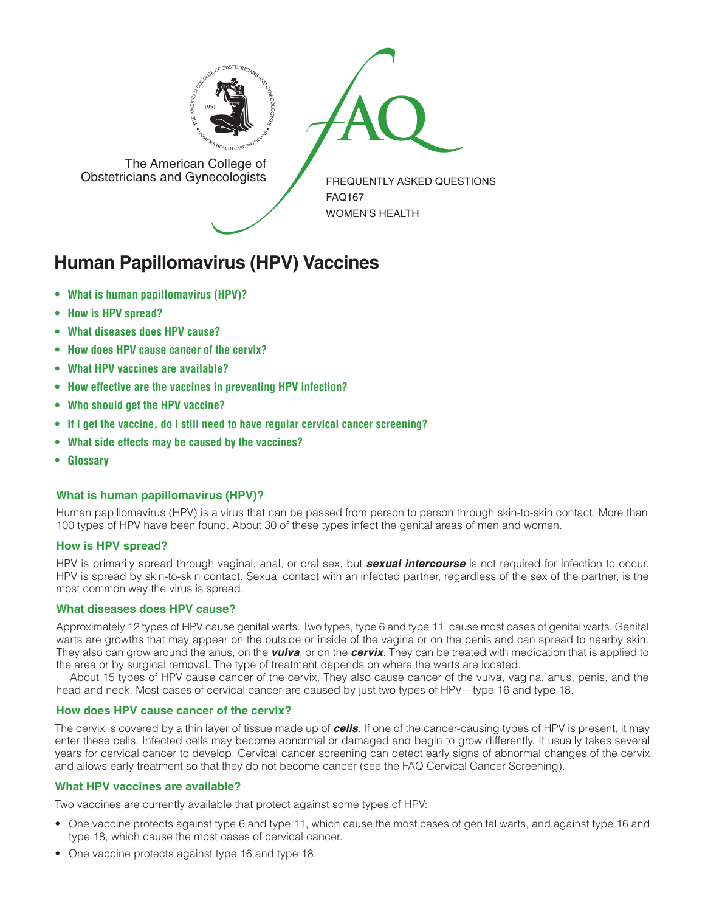



The American College of<br>Obstetricians and Gynecologists

FREQUENTLY ASKED QUESTIONS FAQ167 WOMEN'S HEALTH

# **Human Papillomavirus (HPV) Vaccines**

- **• What is human papillomavirus (HPV)?**
- **• How is HPV spread?**
- **• What diseases does HPV cause?**
- **• How does HPV cause cancer of the cervix?**
- **• What HPV vaccines are available?**
- **• How effective are the vaccines in preventing HPV infection?**
- **• Who should get the HPV vaccine?**
- **• If I get the vaccine, do I still need to have regular cervical cancer screening?**
- **• What side effects may be caused by the vaccines?**
- **• Glossary**

# **What is human papillomavirus (HPV)?**

Human papillomavirus (HPV) is a virus that can be passed from person to person through skin-to-skin contact. More than 100 types of HPV have been found. About 30 of these types infect the genital areas of men and women.

# **How is HPV spread?**

HPV is primarily spread through vaginal, anal, or oral sex, but *sexual intercourse* is not required for infection to occur. HPV is spread by skin-to-skin contact. Sexual contact with an infected partner, regardless of the sex of the partner, is the most common way the virus is spread.

### **What diseases does HPV cause?**

Approximately 12 types of HPV cause genital warts. Two types, type 6 and type 11, cause most cases of genital warts. Genital warts are growths that may appear on the outside or inside of the vagina or on the penis and can spread to nearby skin. They also can grow around the anus, on the *vulva*, or on the *cervix*. They can be treated with medication that is applied to the area or by surgical removal. The type of treatment depends on where the warts are located.

About 15 types of HPV cause cancer of the cervix. They also cause cancer of the vulva, vagina, anus, penis, and the head and neck. Most cases of cervical cancer are caused by just two types of HPV—type 16 and type 18.

## **How does HPV cause cancer of the cervix?**

The cervix is covered by a thin layer of tissue made up of *cells*. If one of the cancer-causing types of HPV is present, it may enter these cells. Infected cells may become abnormal or damaged and begin to grow differently. It usually takes several years for cervical cancer to develop. Cervical cancer screening can detect early signs of abnormal changes of the cervix and allows early treatment so that they do not become cancer (see the FAQ Cervical Cancer Screening).

# **What HPV vaccines are available?**

Two vaccines are currently available that protect against some types of HPV:

- One vaccine protects against type 6 and type 11, which cause the most cases of genital warts, and against type 16 and type 18, which cause the most cases of cervical cancer.
- One vaccine protects against type 16 and type 18.